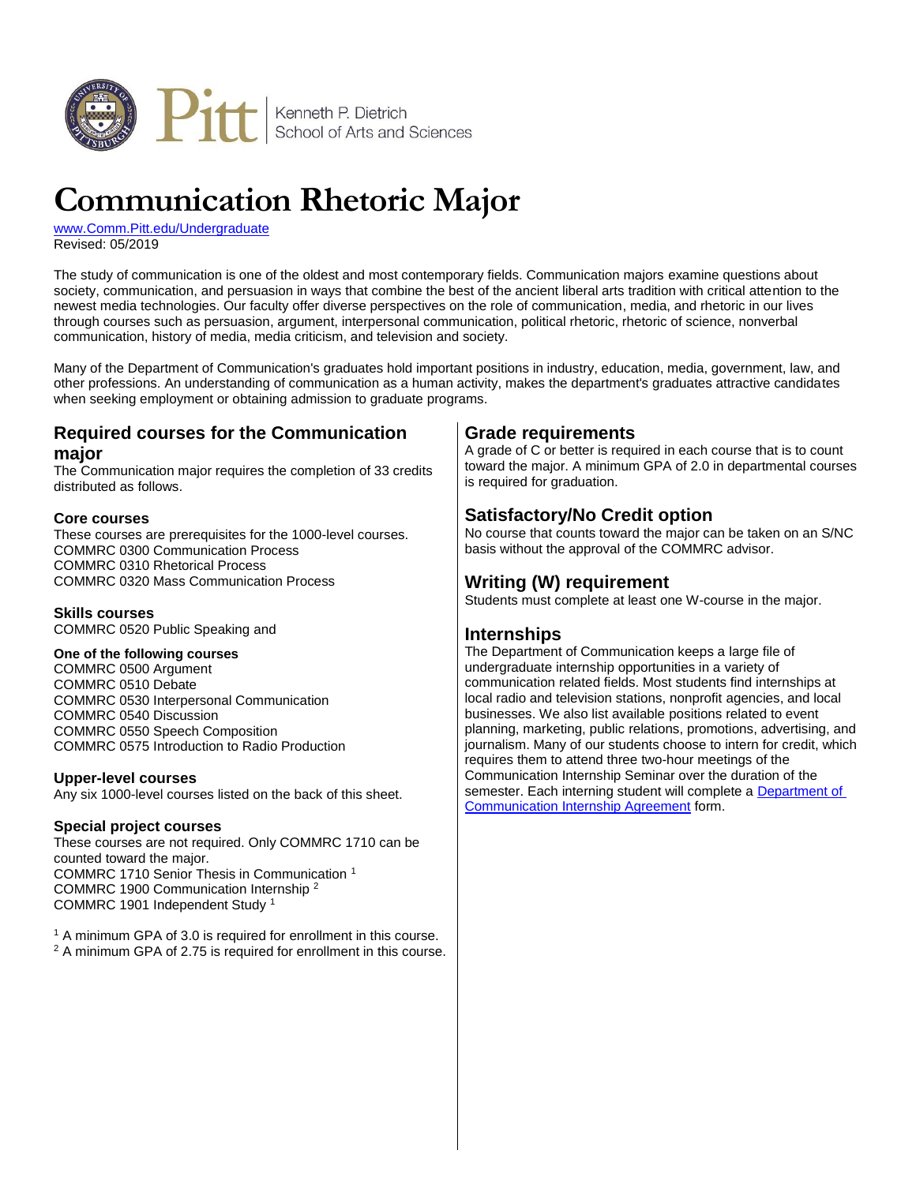

# **Communication Rhetoric Major**

[www.Comm.Pitt.edu/Undergraduate](http://www.comm.pitt.edu/undergraduate) Revised: 05/2019

The study of communication is one of the oldest and most contemporary fields. Communication majors examine questions about society, communication, and persuasion in ways that combine the best of the ancient liberal arts tradition with critical attention to the newest media technologies. Our faculty offer diverse perspectives on the role of communication, media, and rhetoric in our lives through courses such as persuasion, argument, interpersonal communication, political rhetoric, rhetoric of science, nonverbal communication, history of media, media criticism, and television and society.

Many of the Department of Communication's graduates hold important positions in industry, education, media, government, law, and other professions. An understanding of communication as a human activity, makes the department's graduates attractive candidates when seeking employment or obtaining admission to graduate programs.

## **Required courses for the Communication major**

The Communication major requires the completion of 33 credits distributed as follows.

#### **Core courses**

These courses are prerequisites for the 1000-level courses. COMMRC 0300 Communication Process COMMRC 0310 Rhetorical Process COMMRC 0320 Mass Communication Process

### **Skills courses**

COMMRC 0520 Public Speaking and

#### **One of the following courses**

COMMRC 0500 Argument COMMRC 0510 Debate COMMRC 0530 Interpersonal Communication COMMRC 0540 Discussion COMMRC 0550 Speech Composition COMMRC 0575 Introduction to Radio Production

#### **Upper-level courses**

Any six 1000-level courses listed on the back of this sheet.

#### **Special project courses**

These courses are not required. Only COMMRC 1710 can be counted toward the major. COMMRC 1710 Senior Thesis in Communication <sup>1</sup> COMMRC 1900 Communication Internship <sup>2</sup> COMMRC 1901 Independent Study <sup>1</sup>

<sup>1</sup> A minimum GPA of 3.0 is required for enrollment in this course. <sup>2</sup> A minimum GPA of 2.75 is required for enrollment in this course.

## **Grade requirements**

A grade of C or better is required in each course that is to count toward the major. A minimum GPA of 2.0 in departmental courses is required for graduation.

## **Satisfactory/No Credit option**

No course that counts toward the major can be taken on an S/NC basis without the approval of the COMMRC advisor.

## **Writing (W) requirement**

Students must complete at least one W-course in the major.

## **Internships**

The Department of Communication keeps a large file of undergraduate internship opportunities in a variety of communication related fields. Most students find internships at local radio and television stations, nonprofit agencies, and local businesses. We also list available positions related to event planning, marketing, public relations, promotions, advertising, and journalism. Many of our students choose to intern for credit, which requires them to attend three two-hour meetings of the Communication Internship Seminar over the duration of the semester. Each interning student will complete a [Department of](http://www.comm.pitt.edu/undergraduate/internship/agreement.html)  [Communication Internship Agreement](http://www.comm.pitt.edu/undergraduate/internship/agreement.html) form.